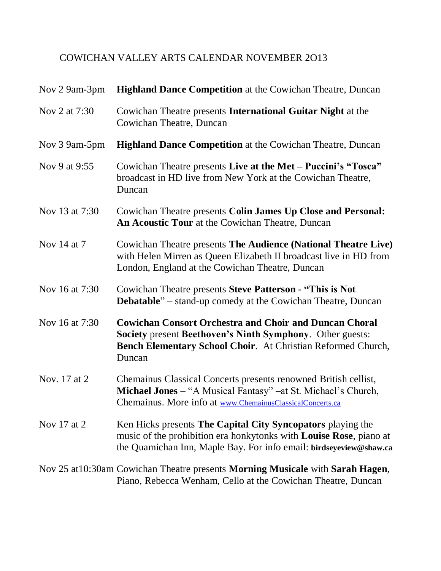## COWICHAN VALLEY ARTS CALENDAR NOVEMBER 2O13

| Nov 2 9am-3pm  | <b>Highland Dance Competition</b> at the Cowichan Theatre, Duncan                                                                                                                                               |
|----------------|-----------------------------------------------------------------------------------------------------------------------------------------------------------------------------------------------------------------|
| Nov 2 at 7:30  | Cowichan Theatre presents International Guitar Night at the<br>Cowichan Theatre, Duncan                                                                                                                         |
| Nov 3 9am-5pm  | <b>Highland Dance Competition</b> at the Cowichan Theatre, Duncan                                                                                                                                               |
| Nov 9 at 9:55  | Cowichan Theatre presents Live at the Met – Puccini's "Tosca"<br>broadcast in HD live from New York at the Cowichan Theatre,<br>Duncan                                                                          |
| Nov 13 at 7:30 | Cowichan Theatre presents Colin James Up Close and Personal:<br>An Acoustic Tour at the Cowichan Theatre, Duncan                                                                                                |
| Nov 14 at 7    | Cowichan Theatre presents The Audience (National Theatre Live)<br>with Helen Mirren as Queen Elizabeth II broadcast live in HD from<br>London, England at the Cowichan Theatre, Duncan                          |
| Nov 16 at 7:30 | Cowichan Theatre presents Steve Patterson - "This is Not<br><b>Debatable</b> " – stand-up comedy at the Cowichan Theatre, Duncan                                                                                |
| Nov 16 at 7:30 | <b>Cowichan Consort Orchestra and Choir and Duncan Choral</b><br>Society present Beethoven's Ninth Symphony. Other guests:<br>Bench Elementary School Choir. At Christian Reformed Church,<br>Duncan            |
| Nov. 17 at 2   | Chemainus Classical Concerts presents renowned British cellist,<br>Michael Jones - "A Musical Fantasy" - at St. Michael's Church,<br>Chemainus. More info at www.ChemainusClassicalConcerts.ca                  |
| Nov 17 at 2    | Ken Hicks presents The Capital City Syncopators playing the<br>music of the prohibition era honkytonks with <b>Louise Rose</b> , piano at<br>the Quamichan Inn, Maple Bay. For info email: birdseyeview@shaw.ca |
|                | Nov 25 at 10:30am Cowichan Theatre presents <b>Morning Musicale</b> with <b>Sarah Hagen</b> ,<br>Piano, Rebecca Wenham, Cello at the Cowichan Theatre, Duncan                                                   |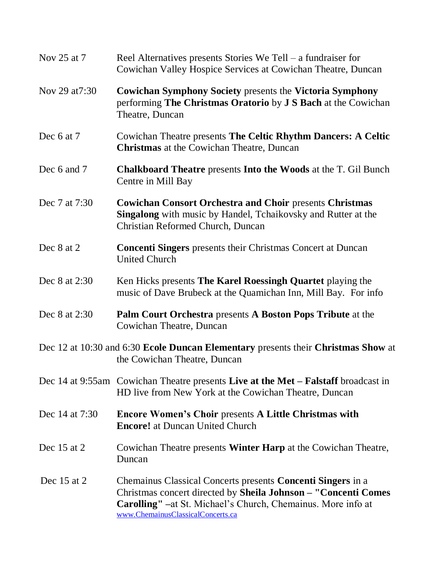| Nov 25 at 7     | Reel Alternatives presents Stories We Tell – a fundraiser for<br>Cowichan Valley Hospice Services at Cowichan Theatre, Duncan                                                                                                                    |
|-----------------|--------------------------------------------------------------------------------------------------------------------------------------------------------------------------------------------------------------------------------------------------|
| Nov 29 at 7:30  | <b>Cowichan Symphony Society presents the Victoria Symphony</b><br>performing The Christmas Oratorio by J S Bach at the Cowichan<br>Theatre, Duncan                                                                                              |
| Dec 6 at 7      | Cowichan Theatre presents The Celtic Rhythm Dancers: A Celtic<br><b>Christmas</b> at the Cowichan Theatre, Duncan                                                                                                                                |
| Dec 6 and 7     | <b>Chalkboard Theatre presents Into the Woods at the T. Gil Bunch</b><br>Centre in Mill Bay                                                                                                                                                      |
| Dec 7 at 7:30   | <b>Cowichan Consort Orchestra and Choir presents Christmas</b><br><b>Singalong</b> with music by Handel, Tchaikovsky and Rutter at the<br>Christian Reformed Church, Duncan                                                                      |
| Dec 8 at 2      | <b>Concenti Singers</b> presents their Christmas Concert at Duncan<br><b>United Church</b>                                                                                                                                                       |
| Dec 8 at 2:30   | Ken Hicks presents The Karel Roessingh Quartet playing the<br>music of Dave Brubeck at the Quamichan Inn, Mill Bay. For info                                                                                                                     |
| Dec 8 at 2:30   | <b>Palm Court Orchestra presents A Boston Pops Tribute at the</b><br>Cowichan Theatre, Duncan                                                                                                                                                    |
|                 | Dec 12 at 10:30 and 6:30 Ecole Duncan Elementary presents their Christmas Show at<br>the Cowichan Theatre, Duncan                                                                                                                                |
|                 | Dec 14 at 9:55am Cowichan Theatre presents Live at the Met – Falstaff broadcast in<br>HD live from New York at the Cowichan Theatre, Duncan                                                                                                      |
| Dec 14 at 7:30  | <b>Encore Women's Choir presents A Little Christmas with</b><br><b>Encore!</b> at Duncan United Church                                                                                                                                           |
| Dec 15 at 2     | Cowichan Theatre presents <b>Winter Harp</b> at the Cowichan Theatre,<br>Duncan                                                                                                                                                                  |
| Dec $15$ at $2$ | Chemainus Classical Concerts presents <b>Concenti Singers</b> in a<br>Christmas concert directed by Sheila Johnson - "Concenti Comes<br><b>Carolling"</b> –at St. Michael's Church, Chemainus. More info at<br>www.ChemainusClassicalConcerts.ca |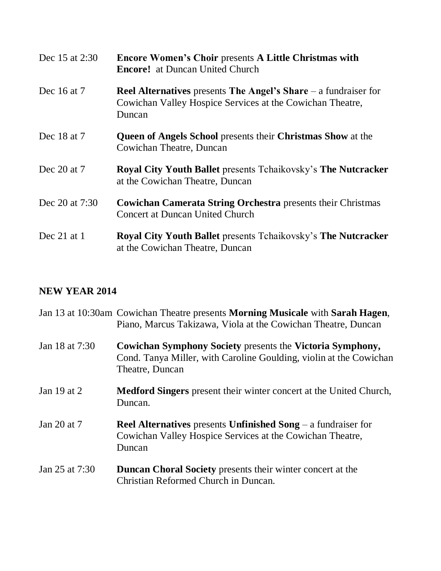| Dec 15 at 2:30   | <b>Encore Women's Choir presents A Little Christmas with</b><br><b>Encore!</b> at Duncan United Church                                          |
|------------------|-------------------------------------------------------------------------------------------------------------------------------------------------|
| Dec 16 at 7      | <b>Reel Alternatives</b> presents The Angel's Share $-$ a fundraiser for<br>Cowichan Valley Hospice Services at the Cowichan Theatre,<br>Duncan |
| Dec 18 at 7      | <b>Queen of Angels School presents their Christmas Show at the</b><br>Cowichan Theatre, Duncan                                                  |
| Dec 20 at 7      | Royal City Youth Ballet presents Tchaikovsky's The Nutcracker<br>at the Cowichan Theatre, Duncan                                                |
| Dec 20 at $7:30$ | <b>Cowichan Camerata String Orchestra</b> presents their Christmas<br><b>Concert at Duncan United Church</b>                                    |
| Dec $21$ at 1    | <b>Royal City Youth Ballet presents Tchaikovsky's The Nutcracker</b><br>at the Cowichan Theatre, Duncan                                         |

## **NEW YEAR 2014**

|                | Jan 13 at 10:30am Cowichan Theatre presents Morning Musicale with Sarah Hagen,<br>Piano, Marcus Takizawa, Viola at the Cowichan Theatre, Duncan      |
|----------------|------------------------------------------------------------------------------------------------------------------------------------------------------|
| Jan 18 at 7:30 | Cowichan Symphony Society presents the Victoria Symphony,<br>Cond. Tanya Miller, with Caroline Goulding, violin at the Cowichan<br>Theatre, Duncan   |
| Jan 19 at 2    | <b>Medford Singers</b> present their winter concert at the United Church,<br>Duncan.                                                                 |
| Jan 20 at 7    | <b>Reel Alternatives</b> presents <b>Unfinished Song</b> $-$ a fundraiser for<br>Cowichan Valley Hospice Services at the Cowichan Theatre,<br>Duncan |
| Jan 25 at 7:30 | <b>Duncan Choral Society</b> presents their winter concert at the<br>Christian Reformed Church in Duncan.                                            |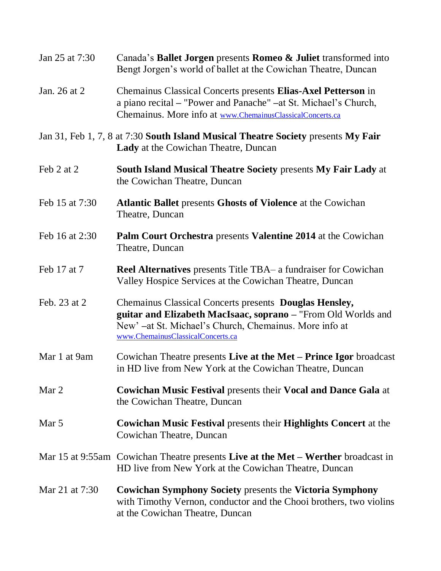| Jan 25 at 7:30 | Canada's Ballet Jorgen presents Romeo & Juliet transformed into<br>Bengt Jorgen's world of ballet at the Cowichan Theatre, Duncan                                                                                      |
|----------------|------------------------------------------------------------------------------------------------------------------------------------------------------------------------------------------------------------------------|
| Jan. 26 at 2   | Chemainus Classical Concerts presents Elias-Axel Petterson in<br>a piano recital – "Power and Panache" – at St. Michael's Church,<br>Chemainus. More info at www.ChemainusClassicalConcerts.ca                         |
|                | Jan 31, Feb 1, 7, 8 at 7:30 South Island Musical Theatre Society presents My Fair<br>Lady at the Cowichan Theatre, Duncan                                                                                              |
| Feb 2 at 2     | <b>South Island Musical Theatre Society presents My Fair Lady at</b><br>the Cowichan Theatre, Duncan                                                                                                                   |
| Feb 15 at 7:30 | <b>Atlantic Ballet presents Ghosts of Violence at the Cowichan</b><br>Theatre, Duncan                                                                                                                                  |
| Feb 16 at 2:30 | Palm Court Orchestra presents Valentine 2014 at the Cowichan<br>Theatre, Duncan                                                                                                                                        |
| Feb 17 at 7    | <b>Reel Alternatives</b> presents Title TBA– a fundraiser for Cowichan<br>Valley Hospice Services at the Cowichan Theatre, Duncan                                                                                      |
| Feb. 23 at 2   | Chemainus Classical Concerts presents Douglas Hensley,<br>guitar and Elizabeth MacIsaac, soprano - "From Old Worlds and<br>New' -at St. Michael's Church, Chemainus. More info at<br>www.ChemainusClassicalConcerts.ca |
| Mar 1 at 9am   | Cowichan Theatre presents Live at the Met – Prince Igor broadcast<br>in HD live from New York at the Cowichan Theatre, Duncan                                                                                          |
| Mar 2          | <b>Cowichan Music Festival presents their Vocal and Dance Gala at</b><br>the Cowichan Theatre, Duncan                                                                                                                  |
| Mar 5          | <b>Cowichan Music Festival presents their Highlights Concert at the</b><br>Cowichan Theatre, Duncan                                                                                                                    |
|                | Mar 15 at 9:55am Cowichan Theatre presents Live at the Met – Werther broadcast in<br>HD live from New York at the Cowichan Theatre, Duncan                                                                             |
| Mar 21 at 7:30 | <b>Cowichan Symphony Society presents the Victoria Symphony</b><br>with Timothy Vernon, conductor and the Chooi brothers, two violins<br>at the Cowichan Theatre, Duncan                                               |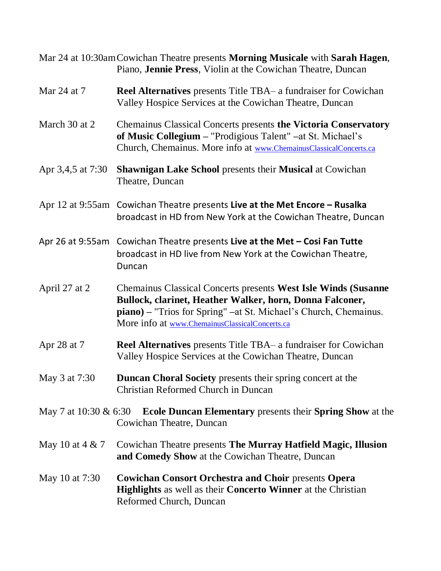|                   | Mar 24 at 10:30am Cowichan Theatre presents Morning Musicale with Sarah Hagen,<br>Piano, Jennie Press, Violin at the Cowichan Theatre, Duncan                                                                                                            |
|-------------------|----------------------------------------------------------------------------------------------------------------------------------------------------------------------------------------------------------------------------------------------------------|
| Mar 24 at 7       | <b>Reel Alternatives</b> presents Title TBA– a fundraiser for Cowichan<br>Valley Hospice Services at the Cowichan Theatre, Duncan                                                                                                                        |
| March 30 at 2     | <b>Chemainus Classical Concerts presents the Victoria Conservatory</b><br>of Music Collegium - "Prodigious Talent" - at St. Michael's<br>Church, Chemainus. More info at www.ChemainusClassicalConcerts.ca                                               |
| Apr 3,4,5 at 7:30 | <b>Shawnigan Lake School presents their Musical at Cowichan</b><br>Theatre, Duncan                                                                                                                                                                       |
|                   | Apr 12 at $9:55am$ Cowichan Theatre presents Live at the Met Encore – Rusalka<br>broadcast in HD from New York at the Cowichan Theatre, Duncan                                                                                                           |
|                   | Apr 26 at 9:55am Cowichan Theatre presents Live at the Met - Cosi Fan Tutte<br>broadcast in HD live from New York at the Cowichan Theatre,<br>Duncan                                                                                                     |
| April 27 at 2     | Chemainus Classical Concerts presents West Isle Winds (Susanne<br>Bullock, clarinet, Heather Walker, horn, Donna Falconer,<br><b>piano</b> ) – "Trios for Spring" –at St. Michael's Church, Chemainus.<br>More info at www.ChemainusClassicalConcerts.ca |
| Apr 28 at 7       | <b>Reel Alternatives</b> presents Title TBA- a fundraiser for Cowichan<br>Valley Hospice Services at the Cowichan Theatre, Duncan                                                                                                                        |
| May 3 at 7:30     | Duncan Choral Society presents their spring concert at the<br>Christian Reformed Church in Duncan                                                                                                                                                        |
|                   | May 7 at 10:30 $\&$ 6:30 Ecole Duncan Elementary presents their Spring Show at the<br>Cowichan Theatre, Duncan                                                                                                                                           |
| May 10 at 4 & 7   | Cowichan Theatre presents The Murray Hatfield Magic, Illusion<br>and Comedy Show at the Cowichan Theatre, Duncan                                                                                                                                         |
| May 10 at 7:30    | <b>Cowichan Consort Orchestra and Choir presents Opera</b><br><b>Highlights</b> as well as their <b>Concerto Winner</b> at the Christian<br>Reformed Church, Duncan                                                                                      |